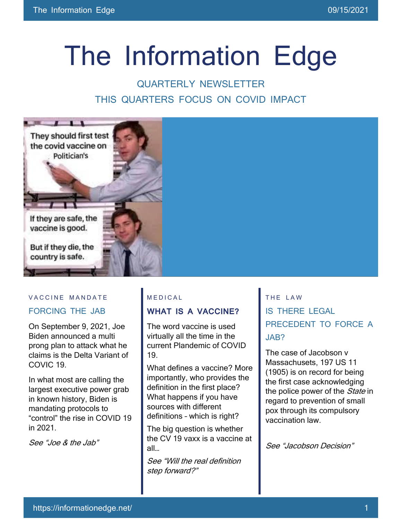# The Information Edge

### QUARTERLY NEWSLETTER THIS QUARTERS FOCUS ON COVID IMPACT



#### VACCINE MANDATE

#### FORCING THE JAB

On September 9, 2021, Joe Biden announced a multi prong plan to attack what he claims is the Delta Variant of COVIC 19.

In what most are calling the largest executive power grab in known history, Biden is mandating protocols to "control" the rise in COVID 19 in 2021.

See "Joe & the Jab"

#### M E D I C A L

#### **WHAT IS A VACCINE?**

The word vaccine is used virtually all the time in the current Plandemic of COVID 19.

What defines a vaccine? More importantly, who provides the definition in the first place? What happens if you have sources with different definitions – which is right?

The big question is whether the CV 19 vaxx is a vaccine at all…

See "Will the real definition step forward?"

THE LAW IS THERE LEGAL PRECEDENT TO FORCE A JAB?

The case of Jacobson v Massachusets, 197 US 11 (1905) is on record for being the first case acknowledging the police power of the *State* in regard to prevention of small pox through its compulsory vaccination law.

See "Jacobson Decision"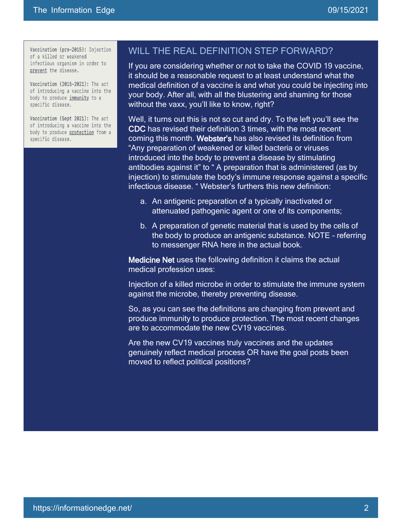Vaccination (pre-2015): Injection of a killed or weakened infectious organism in order to prevent the disease.

Vaccination (2015-2021): The act of introducing a vaccine into the body to produce immunity to a specific disease.

Vaccination (Sept 2021): The act of introducing a vaccine into the body to produce protection from a specific disease.

#### WILL THE REAL DEFINITION STEP FORWARD?

If you are considering whether or not to take the COVID 19 vaccine, it should be a reasonable request to at least understand what the medical definition of a vaccine is and what you could be injecting into your body. After all, with all the blustering and shaming for those without the vaxx, you'll like to know, right?

Well, it turns out this is not so cut and dry. To the left you'll see the CDC has revised their definition 3 times, with the most recent coming this month. Webster's has also revised its definition from "Any preparation of weakened or killed bacteria or viruses introduced into the body to prevent a disease by stimulating antibodies against it" to " A preparation that is administered (as by injection) to stimulate the body's immune response against a specific infectious disease. " Webster's furthers this new definition:

- a. An antigenic preparation of a typically inactivated or attenuated pathogenic agent or one of its components;
- b. A preparation of genetic material that is used by the cells of the body to produce an antigenic substance. NOTE – referring to messenger RNA here in the actual book.

Medicine Net uses the following definition it claims the actual medical profession uses:

Injection of a killed microbe in order to stimulate the immune system against the microbe, thereby preventing disease.

So, as you can see the definitions are changing from prevent and produce immunity to produce protection. The most recent changes are to accommodate the new CV19 vaccines.

Are the new CV19 vaccines truly vaccines and the updates genuinely reflect medical process OR have the goal posts been moved to reflect political positions?

I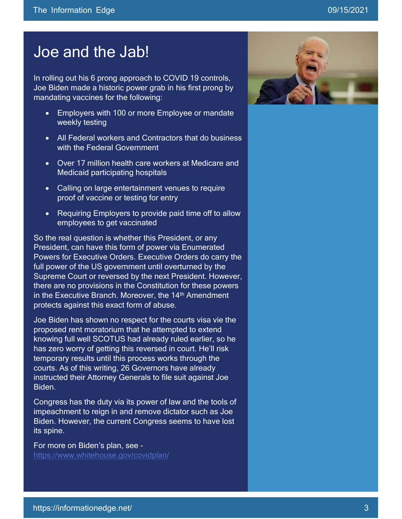## Joe and the Jab!

In rolling out his 6 prong approach to COVID 19 controls, Joe Biden made a historic power grab in his first prong by mandating vaccines for the following:

- Employers with 100 or more Employee or mandate weekly testing
- All Federal workers and Contractors that do business with the Federal Government
- Over 17 million health care workers at Medicare and Medicaid participating hospitals
- Calling on large entertainment venues to require proof of vaccine or testing for entry
- Requiring Employers to provide paid time off to allow employees to get vaccinated

So the real question is whether this President, or any President, can have this form of power via Enumerated Powers for Executive Orders. Executive Orders do carry the full power of the US government until overturned by the Supreme Court or reversed by the next President. However, there are no provisions in the Constitution for these powers in the Executive Branch. Moreover, the 14<sup>th</sup> Amendment protects against this exact form of abuse.

Joe Biden has shown no respect for the courts visa vie the proposed rent moratorium that he attempted to extend knowing full well SCOTUS had already ruled earlier, so he has zero worry of getting this reversed in court. He'll risk temporary results until this process works through the courts. As of this writing, 26 Governors have already instructed their Attorney Generals to file suit against Joe Biden.

Congress has the duty via its power of law and the tools of impeachment to reign in and remove dictator such as Joe Biden. However, the current Congress seems to have lost its spine.

For more on Biden's plan, see <https://www.whitehouse.gov/covidplan/>